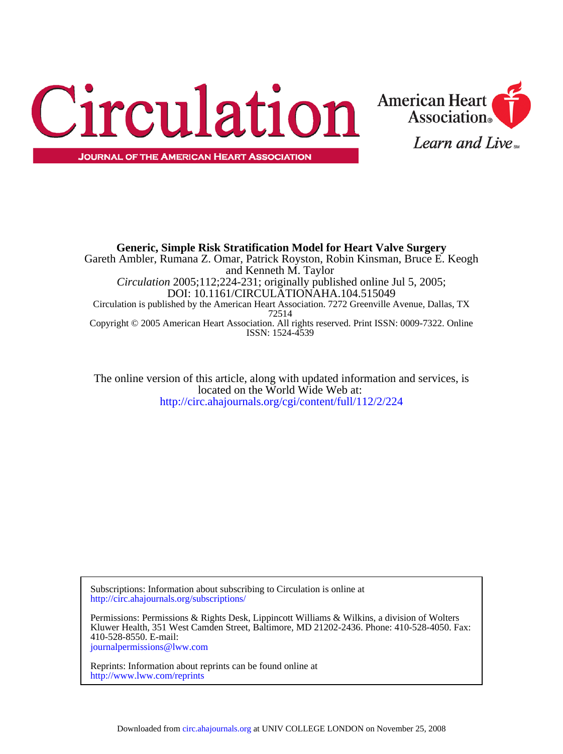



**JOURNAL OF THE AMERICAN HEART ASSOCIATION** 

ISSN: 1524-4539 Copyright © 2005 American Heart Association. All rights reserved. Print ISSN: 0009-7322. Online 72514 Circulation is published by the American Heart Association. 7272 Greenville Avenue, Dallas, TX DOI: 10.1161/CIRCULATIONAHA.104.515049 *Circulation* 2005;112;224-231; originally published online Jul 5, 2005; and Kenneth M. Taylor Gareth Ambler, Rumana Z. Omar, Patrick Royston, Robin Kinsman, Bruce E. Keogh **Generic, Simple Risk Stratification Model for Heart Valve Surgery**

<http://circ.ahajournals.org/cgi/content/full/112/2/224> located on the World Wide Web at: The online version of this article, along with updated information and services, is

<http://circ.ahajournals.org/subscriptions/> Subscriptions: Information about subscribing to Circulation is online at

[journalpermissions@lww.com](mailto:journalpermissions@lww.com) 410-528-8550. E-mail: Kluwer Health, 351 West Camden Street, Baltimore, MD 21202-2436. Phone: 410-528-4050. Fax: Permissions: Permissions & Rights Desk, Lippincott Williams & Wilkins, a division of Wolters

<http://www.lww.com/reprints> Reprints: Information about reprints can be found online at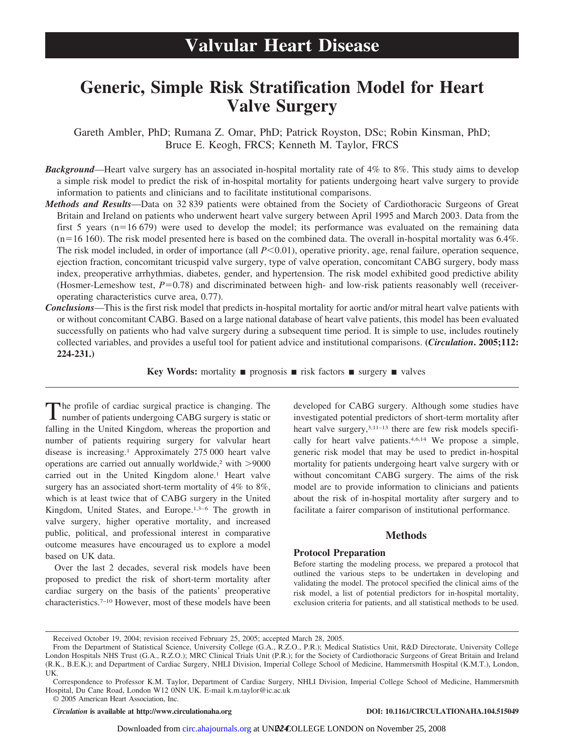# **Generic, Simple Risk Stratification Model for Heart Valve Surgery**

Gareth Ambler, PhD; Rumana Z. Omar, PhD; Patrick Royston, DSc; Robin Kinsman, PhD; Bruce E. Keogh, FRCS; Kenneth M. Taylor, FRCS

- *Background*—Heart valve surgery has an associated in-hospital mortality rate of 4% to 8%. This study aims to develop a simple risk model to predict the risk of in-hospital mortality for patients undergoing heart valve surgery to provide information to patients and clinicians and to facilitate institutional comparisons.
- *Methods and Results*—Data on 32 839 patients were obtained from the Society of Cardiothoracic Surgeons of Great Britain and Ireland on patients who underwent heart valve surgery between April 1995 and March 2003. Data from the first 5 years  $(n=16 679)$  were used to develop the model; its performance was evaluated on the remaining data  $(n=16 160)$ . The risk model presented here is based on the combined data. The overall in-hospital mortality was 6.4%. The risk model included, in order of importance (all *P*<0.01), operative priority, age, renal failure, operation sequence, ejection fraction, concomitant tricuspid valve surgery, type of valve operation, concomitant CABG surgery, body mass index, preoperative arrhythmias, diabetes, gender, and hypertension. The risk model exhibited good predictive ability (Hosmer-Lemeshow test,  $P=0.78$ ) and discriminated between high- and low-risk patients reasonably well (receiveroperating characteristics curve area, 0.77).
- *Conclusions*—This is the first risk model that predicts in-hospital mortality for aortic and/or mitral heart valve patients with or without concomitant CABG. Based on a large national database of heart valve patients, this model has been evaluated successfully on patients who had valve surgery during a subsequent time period. It is simple to use, includes routinely collected variables, and provides a useful tool for patient advice and institutional comparisons. **(***Circulation***. 2005;112: 224-231.)**

**Key Words:** mortality **n** prognosis **n** risk factors **n** surgery **n** valves

The profile of cardiac surgical practice is changing. The number of patients undergoing CABG surgery is static or falling in the United Kingdom, whereas the proportion and number of patients requiring surgery for valvular heart disease is increasing.1 Approximately 275 000 heart valve operations are carried out annually worldwide,<sup>2</sup> with  $>9000$ carried out in the United Kingdom alone.1 Heart valve surgery has an associated short-term mortality of 4% to 8%, which is at least twice that of CABG surgery in the United Kingdom, United States, and Europe.<sup>1,3–6</sup> The growth in valve surgery, higher operative mortality, and increased public, political, and professional interest in comparative outcome measures have encouraged us to explore a model based on UK data.

Over the last 2 decades, several risk models have been proposed to predict the risk of short-term mortality after cardiac surgery on the basis of the patients' preoperative characteristics.7–10 However, most of these models have been developed for CABG surgery. Although some studies have investigated potential predictors of short-term mortality after heart valve surgery,<sup>3,11-13</sup> there are few risk models specifically for heart valve patients.4,6,14 We propose a simple, generic risk model that may be used to predict in-hospital mortality for patients undergoing heart valve surgery with or without concomitant CABG surgery. The aims of the risk model are to provide information to clinicians and patients about the risk of in-hospital mortality after surgery and to facilitate a fairer comparison of institutional performance.

### **Methods**

## **Protocol Preparation**

Before starting the modeling process, we prepared a protocol that outlined the various steps to be undertaken in developing and validating the model. The protocol specified the clinical aims of the risk model, a list of potential predictors for in-hospital mortality, exclusion criteria for patients, and all statistical methods to be used.

© 2005 American Heart Association, Inc.

*Circulation* **is available at http://www.circulationaha.org DOI: 10.1161/CIRCULATIONAHA.104.515049**

Downloaded from [circ.ahajournals.org](http://circ.ahajournals.org) at UN**IV** COLLEGE LONDON on November 25, 2008

Received October 19, 2004; revision received February 25, 2005; accepted March 28, 2005.

From the Department of Statistical Science, University College (G.A., R.Z.O., P.R.); Medical Statistics Unit, R&D Directorate, University College London Hospitals NHS Trust (G.A., R.Z.O.); MRC Clinical Trials Unit (P.R.); for the Society of Cardiothoracic Surgeons of Great Britain and Ireland (R.K., B.E.K.); and Department of Cardiac Surgery, NHLI Division, Imperial College School of Medicine, Hammersmith Hospital (K.M.T.), London, UK.

Correspondence to Professor K.M. Taylor, Department of Cardiac Surgery, NHLI Division, Imperial College School of Medicine, Hammersmith Hospital, Du Cane Road, London W12 0NN UK. E-mail k.m.taylor@ic.ac.uk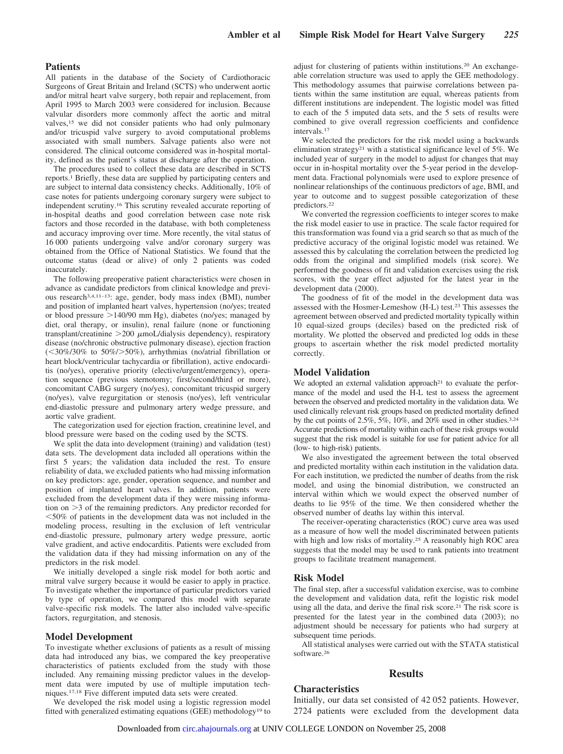#### **Patients**

All patients in the database of the Society of Cardiothoracic Surgeons of Great Britain and Ireland (SCTS) who underwent aortic and/or mitral heart valve surgery, both repair and replacement, from April 1995 to March 2003 were considered for inclusion. Because valvular disorders more commonly affect the aortic and mitral valves,15 we did not consider patients who had only pulmonary and/or tricuspid valve surgery to avoid computational problems associated with small numbers. Salvage patients also were not considered. The clinical outcome considered was in-hospital mortality, defined as the patient's status at discharge after the operation.

The procedures used to collect these data are described in SCTS reports.1 Briefly, these data are supplied by participating centers and are subject to internal data consistency checks. Additionally, 10% of case notes for patients undergoing coronary surgery were subject to independent scrutiny.16 This scrutiny revealed accurate reporting of in-hospital deaths and good correlation between case note risk factors and those recorded in the database, with both completeness and accuracy improving over time. More recently, the vital status of 16 000 patients undergoing valve and/or coronary surgery was obtained from the Office of National Statistics. We found that the outcome status (dead or alive) of only 2 patients was coded inaccurately.

The following preoperative patient characteristics were chosen in advance as candidate predictors from clinical knowledge and previous research3,4,11–13: age, gender, body mass index (BMI), number and position of implanted heart valves, hypertension (no/yes; treated or blood pressure  $>140/90$  mm Hg), diabetes (no/yes; managed by diet, oral therapy, or insulin), renal failure (none or functioning transplant/creatinine  $>$  200  $\mu$ moL/dialysis dependency), respiratory disease (no/chronic obstructive pulmonary disease), ejection fraction  $(<$ 30%/30% to 50%/ $>$ 50%), arrhythmias (no/atrial fibrillation or heart block/ventricular tachycardia or fibrillation), active endocarditis (no/yes), operative priority (elective/urgent/emergency), operation sequence (previous sternotomy; first/second/third or more), concomitant CABG surgery (no/yes), concomitant tricuspid surgery (no/yes), valve regurgitation or stenosis (no/yes), left ventricular end-diastolic pressure and pulmonary artery wedge pressure, and aortic valve gradient.

The categorization used for ejection fraction, creatinine level, and blood pressure were based on the coding used by the SCTS.

We split the data into development (training) and validation (test) data sets. The development data included all operations within the first 5 years; the validation data included the rest. To ensure reliability of data, we excluded patients who had missing information on key predictors: age, gender, operation sequence, and number and position of implanted heart valves. In addition, patients were excluded from the development data if they were missing information on 3 of the remaining predictors. Any predictor recorded for -50% of patients in the development data was not included in the modeling process, resulting in the exclusion of left ventricular end-diastolic pressure, pulmonary artery wedge pressure, aortic valve gradient, and active endocarditis. Patients were excluded from the validation data if they had missing information on any of the predictors in the risk model.

We initially developed a single risk model for both aortic and mitral valve surgery because it would be easier to apply in practice. To investigate whether the importance of particular predictors varied by type of operation, we compared this model with separate valve-specific risk models. The latter also included valve-specific factors, regurgitation, and stenosis.

#### **Model Development**

To investigate whether exclusions of patients as a result of missing data had introduced any bias, we compared the key preoperative characteristics of patients excluded from the study with those included. Any remaining missing predictor values in the development data were imputed by use of multiple imputation techniques.17,18 Five different imputed data sets were created.

We developed the risk model using a logistic regression model fitted with generalized estimating equations (GEE) methodology19 to adjust for clustering of patients within institutions.20 An exchangeable correlation structure was used to apply the GEE methodology. This methodology assumes that pairwise correlations between patients within the same institution are equal, whereas patients from different institutions are independent. The logistic model was fitted to each of the 5 imputed data sets, and the 5 sets of results were combined to give overall regression coefficients and confidence intervals.17

We selected the predictors for the risk model using a backwards elimination strategy<sup>21</sup> with a statistical significance level of 5%. We included year of surgery in the model to adjust for changes that may occur in in-hospital mortality over the 5-year period in the development data. Fractional polynomials were used to explore presence of nonlinear relationships of the continuous predictors of age, BMI, and year to outcome and to suggest possible categorization of these predictors.22

We converted the regression coefficients to integer scores to make the risk model easier to use in practice. The scale factor required for this transformation was found via a grid search so that as much of the predictive accuracy of the original logistic model was retained. We assessed this by calculating the correlation between the predicted log odds from the original and simplified models (risk score). We performed the goodness of fit and validation exercises using the risk scores, with the year effect adjusted for the latest year in the development data (2000).

The goodness of fit of the model in the development data was assessed with the Hosmer-Lemeshow (H-L) test.23 This assesses the agreement between observed and predicted mortality typically within 10 equal-sized groups (deciles) based on the predicted risk of mortality. We plotted the observed and predicted log odds in these groups to ascertain whether the risk model predicted mortality correctly.

#### **Model Validation**

We adopted an external validation approach<sup>21</sup> to evaluate the performance of the model and used the H-L test to assess the agreement between the observed and predicted mortality in the validation data. We used clinically relevant risk groups based on predicted mortality defined by the cut points of  $2.5\%, 5\%, 10\%$ , and  $20\%$  used in other studies.<sup>3,24</sup> Accurate predictions of mortality within each of these risk groups would suggest that the risk model is suitable for use for patient advice for all (low- to high-risk) patients.

We also investigated the agreement between the total observed and predicted mortality within each institution in the validation data. For each institution, we predicted the number of deaths from the risk model, and using the binomial distribution, we constructed an interval within which we would expect the observed number of deaths to lie 95% of the time. We then considered whether the observed number of deaths lay within this interval.

The receiver-operating characteristics (ROC) curve area was used as a measure of how well the model discriminated between patients with high and low risks of mortality.<sup>25</sup> A reasonably high ROC area suggests that the model may be used to rank patients into treatment groups to facilitate treatment management.

#### **Risk Model**

The final step, after a successful validation exercise, was to combine the development and validation data, refit the logistic risk model using all the data, and derive the final risk score.<sup>21</sup> The risk score is presented for the latest year in the combined data (2003); no adjustment should be necessary for patients who had surgery at subsequent time periods.

All statistical analyses were carried out with the STATA statistical software.26

#### **Results**

#### **Characteristics**

Initially, our data set consisted of 42 052 patients. However, 2724 patients were excluded from the development data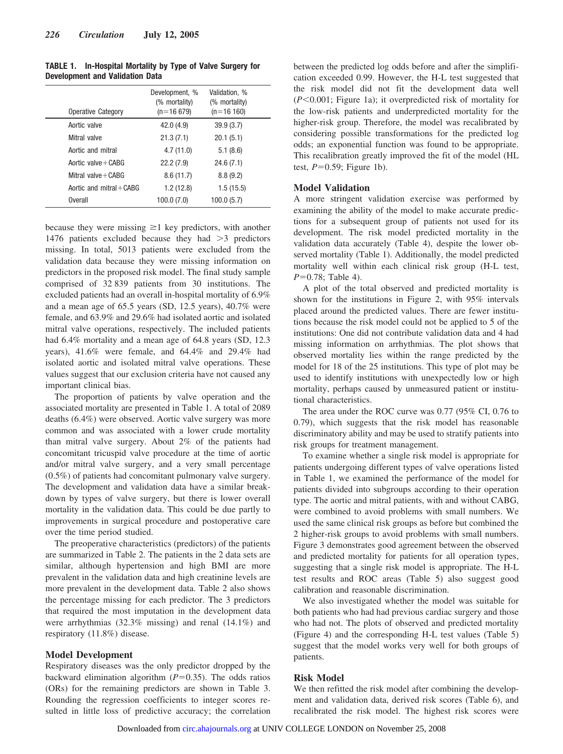| <b>TABLE 1. In-Hospital Mortality by Type of Valve Surgery for</b> |
|--------------------------------------------------------------------|
| <b>Development and Validation Data</b>                             |

| Operative Category       | Development, %<br>(% mortality)<br>$(n=16 679)$ | Validation, %<br>(% mortality)<br>$(n=16 160)$ |
|--------------------------|-------------------------------------------------|------------------------------------------------|
| Aortic valve             | 42.0 (4.9)                                      | 39.9(3.7)                                      |
| Mitral valve             | 21.3(7.1)                                       | 20.1(5.1)                                      |
| Aortic and mitral        | 4.7(11.0)                                       | 5.1(8.6)                                       |
| Aortic valve + $CABG$    | 22.2(7.9)                                       | 24.6(7.1)                                      |
| Mitral valve $+$ CABG    | 8.6(11.7)                                       | 8.8(9.2)                                       |
| Aortic and mitral + CABG | 1.2(12.8)                                       | 1.5(15.5)                                      |
| <b>Overall</b>           | 100.0 (7.0)                                     | 100.0(5.7)                                     |

because they were missing  $\geq 1$  key predictors, with another 1476 patients excluded because they had  $>3$  predictors missing. In total, 5013 patients were excluded from the validation data because they were missing information on predictors in the proposed risk model. The final study sample comprised of 32 839 patients from 30 institutions. The excluded patients had an overall in-hospital mortality of 6.9% and a mean age of 65.5 years (SD, 12.5 years), 40.7% were female, and 63.9% and 29.6% had isolated aortic and isolated mitral valve operations, respectively. The included patients had 6.4% mortality and a mean age of 64.8 years (SD, 12.3) years), 41.6% were female, and 64.4% and 29.4% had isolated aortic and isolated mitral valve operations. These values suggest that our exclusion criteria have not caused any important clinical bias.

The proportion of patients by valve operation and the associated mortality are presented in Table 1. A total of 2089 deaths (6.4%) were observed. Aortic valve surgery was more common and was associated with a lower crude mortality than mitral valve surgery. About 2% of the patients had concomitant tricuspid valve procedure at the time of aortic and/or mitral valve surgery, and a very small percentage (0.5%) of patients had concomitant pulmonary valve surgery. The development and validation data have a similar breakdown by types of valve surgery, but there is lower overall mortality in the validation data. This could be due partly to improvements in surgical procedure and postoperative care over the time period studied.

The preoperative characteristics (predictors) of the patients are summarized in Table 2. The patients in the 2 data sets are similar, although hypertension and high BMI are more prevalent in the validation data and high creatinine levels are more prevalent in the development data. Table 2 also shows the percentage missing for each predictor. The 3 predictors that required the most imputation in the development data were arrhythmias (32.3% missing) and renal (14.1%) and respiratory (11.8%) disease.

#### **Model Development**

Respiratory diseases was the only predictor dropped by the backward elimination algorithm  $(P=0.35)$ . The odds ratios (ORs) for the remaining predictors are shown in Table 3. Rounding the regression coefficients to integer scores resulted in little loss of predictive accuracy; the correlation between the predicted log odds before and after the simplification exceeded 0.99. However, the H-L test suggested that the risk model did not fit the development data well (*P*-0.001; Figure 1a); it overpredicted risk of mortality for the low-risk patients and underpredicted mortality for the higher-risk group. Therefore, the model was recalibrated by considering possible transformations for the predicted log odds; an exponential function was found to be appropriate. This recalibration greatly improved the fit of the model (HL test,  $P=0.59$ ; Figure 1b).

#### **Model Validation**

A more stringent validation exercise was performed by examining the ability of the model to make accurate predictions for a subsequent group of patients not used for its development. The risk model predicted mortality in the validation data accurately (Table 4), despite the lower observed mortality (Table 1). Additionally, the model predicted mortality well within each clinical risk group (H-L test,  $P=0.78$ ; Table 4).

A plot of the total observed and predicted mortality is shown for the institutions in Figure 2, with 95% intervals placed around the predicted values. There are fewer institutions because the risk model could not be applied to 5 of the institutions: One did not contribute validation data and 4 had missing information on arrhythmias. The plot shows that observed mortality lies within the range predicted by the model for 18 of the 25 institutions. This type of plot may be used to identify institutions with unexpectedly low or high mortality, perhaps caused by unmeasured patient or institutional characteristics.

The area under the ROC curve was 0.77 (95% CI, 0.76 to 0.79), which suggests that the risk model has reasonable discriminatory ability and may be used to stratify patients into risk groups for treatment management.

To examine whether a single risk model is appropriate for patients undergoing different types of valve operations listed in Table 1, we examined the performance of the model for patients divided into subgroups according to their operation type. The aortic and mitral patients, with and without CABG, were combined to avoid problems with small numbers. We used the same clinical risk groups as before but combined the 2 higher-risk groups to avoid problems with small numbers. Figure 3 demonstrates good agreement between the observed and predicted mortality for patients for all operation types, suggesting that a single risk model is appropriate. The H-L test results and ROC areas (Table 5) also suggest good calibration and reasonable discrimination.

We also investigated whether the model was suitable for both patients who had had previous cardiac surgery and those who had not. The plots of observed and predicted mortality (Figure 4) and the corresponding H-L test values (Table 5) suggest that the model works very well for both groups of patients.

#### **Risk Model**

We then refitted the risk model after combining the development and validation data, derived risk scores (Table 6), and recalibrated the risk model. The highest risk scores were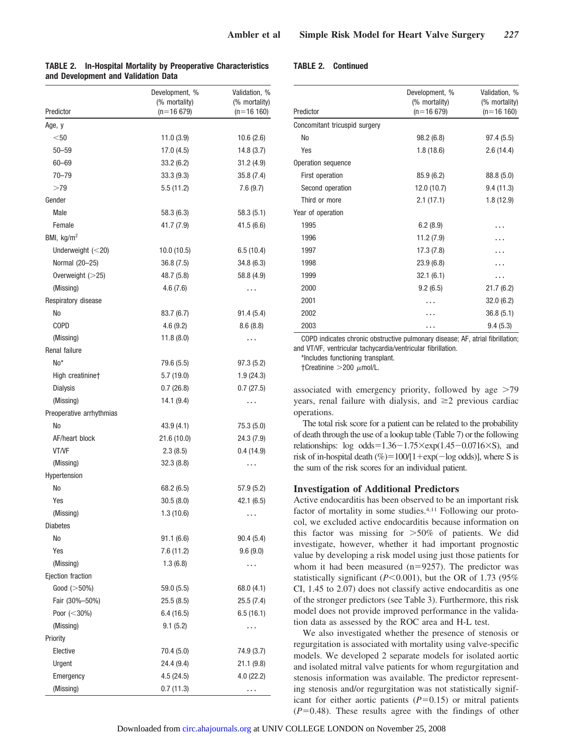| Predictor                | Development, %<br>(% mortality)<br>$(n=16679)$ | Validation, %<br>(% mortality)<br>$(n=16 160)$ |
|--------------------------|------------------------------------------------|------------------------------------------------|
| Age, y                   |                                                |                                                |
| $<$ 50                   | 11.0(3.9)                                      | 10.6(2.6)                                      |
| $50 - 59$                | 17.0(4.5)                                      | 14.8(3.7)                                      |
| $60 - 69$                | 33.2(6.2)                                      | 31.2(4.9)                                      |
| 70-79                    | 33.3(9.3)                                      | 35.8 (7.4)                                     |
| >79                      | 5.5(11.2)                                      | 7.6(9.7)                                       |
| Gender                   |                                                |                                                |
| Male                     | 58.3(6.3)                                      | 58.3(5.1)                                      |
| Female                   | 41.7 (7.9)                                     | 41.5 (6.6)                                     |
| BMI, kg/m <sup>2</sup>   |                                                |                                                |
| Underweight $(<20)$      | 10.0(10.5)                                     | 6.5(10.4)                                      |
| Normal (20-25)           | 36.8(7.5)                                      | 34.8(6.3)                                      |
| Overweight $(>25)$       | 48.7 (5.8)                                     | 58.8 (4.9)                                     |
| (Missing)                | 4.6(7.6)                                       | .                                              |
| Respiratory disease      |                                                |                                                |
| No                       | 83.7 (6.7)                                     | 91.4(5.4)                                      |
| <b>COPD</b>              | 4.6(9.2)                                       | 8.6(8.8)                                       |
| (Missing)                | 11.8(8.0)                                      | .                                              |
| Renal failure            |                                                |                                                |
| $No*$                    | 79.6 (5.5)                                     | 97.3(5.2)                                      |
| High creatininet         | 5.7(19.0)                                      | 1.9(24.3)                                      |
| <b>Dialysis</b>          | 0.7(26.8)                                      | 0.7(27.5)                                      |
| (Missing)                | 14.1(9.4)                                      | .                                              |
| Preoperative arrhythmias |                                                |                                                |
| No                       | 43.9(4.1)                                      | 75.3 (5.0)                                     |
| AF/heart block           | 21.6(10.0)                                     | 24.3(7.9)                                      |
| VT/VF                    | 2.3(8.5)                                       | 0.4(14.9)                                      |
| (Missing)                | 32.3(8.8)                                      | .                                              |
| Hypertension             |                                                |                                                |
| No                       | 68.2(6.5)                                      | 57.9 (5.2)                                     |
| Yes                      | 30.5(8.0)                                      | 42.1(6.5)                                      |
| (Missing)                | 1.3(10.6)                                      |                                                |
| <b>Diabetes</b>          |                                                |                                                |
| No                       | 91.1(6.6)                                      | 90.4(5.4)                                      |
| Yes                      | 7.6(11.2)                                      | 9.6(9.0)                                       |
| (Missing)                | 1.3(6.8)                                       | .                                              |
| Ejection fraction        |                                                |                                                |
| Good $(>50\%)$           | 59.0 (5.5)                                     | 68.0 (4.1)                                     |
| Fair (30%-50%)           | 25.5(8.5)                                      | 25.5(7.4)                                      |
| Poor $(<30\%)$           | 6.4(16.5)                                      | 6.5(16.1)                                      |
| (Missing)                | 9.1(5.2)                                       | .                                              |
| Priority                 |                                                |                                                |
| Elective                 | 70.4 (5.0)                                     | 74.9 (3.7)                                     |
| Urgent                   | 24.4 (9.4)                                     | 21.1(9.8)                                      |
| Emergency                | 4.5(24.5)                                      | 4.0(22.2)                                      |
| (Missing)                | 0.7(11.3)                                      |                                                |

#### **TABLE 2. In-Hospital Mortality by Preoperative Characteristics and Development and Validation Data**

#### **TABLE 2. Continued**

| Predictor                     | Development, %<br>(% mortality)<br>$(n=16679)$ | Validation, %<br>(% mortality)<br>$(n=16 160)$ |
|-------------------------------|------------------------------------------------|------------------------------------------------|
| Concomitant tricuspid surgery |                                                |                                                |
| No                            | 98.2(6.8)                                      | 97.4(5.5)                                      |
| Yes                           | 1.8(18.6)                                      | 2.6(14.4)                                      |
| Operation sequence            |                                                |                                                |
| First operation               | 85.9(6.2)                                      | 88.8 (5.0)                                     |
| Second operation              | 12.0(10.7)                                     | 9.4(11.3)                                      |
| Third or more                 | 2.1(17.1)                                      | 1.8(12.9)                                      |
| Year of operation             |                                                |                                                |
| 1995                          | 6.2(8.9)                                       |                                                |
| 1996                          | 11.2(7.9)                                      |                                                |
| 1997                          | 17.3(7.8)                                      |                                                |
| 1998                          | 23.9(6.8)                                      |                                                |
| 1999                          | 32.1(6.1)                                      | .                                              |
| 2000                          | 9.2(6.5)                                       | 21.7(6.2)                                      |
| 2001                          |                                                | 32.0(6.2)                                      |
| 2002                          |                                                | 36.8(5.1)                                      |
| 2003                          |                                                | 9.4(5.3)                                       |

COPD indicates chronic obstructive pulmonary disease; AF, atrial fibrillation; and VT/VF, ventricular tachycardia/ventricular fibrillation.

\*Includes functioning transplant.

 $\uparrow$ Creatinine > 200  $\mu$ mol/L.

associated with emergency priority, followed by age  $>79$ years, renal failure with dialysis, and  $\geq 2$  previous cardiac operations.

The total risk score for a patient can be related to the probability of death through the use of a lookup table (Table 7) or the following relationships: log odds= $1.36-1.75\times$ exp(1.45-0.0716 $\times$ S), and risk of in-hospital death  $(\%)=100/[1+exp(-\log \text{odds})]$ , where S is the sum of the risk scores for an individual patient.

### **Investigation of Additional Predictors**

Active endocarditis has been observed to be an important risk factor of mortality in some studies.4,11 Following our protocol, we excluded active endocarditis because information on this factor was missing for  $>50\%$  of patients. We did investigate, however, whether it had important prognostic value by developing a risk model using just those patients for whom it had been measured  $(n=9257)$ . The predictor was statistically significant  $(P<0.001)$ , but the OR of 1.73 (95%) CI, 1.45 to 2.07) does not classify active endocarditis as one of the stronger predictors (see Table 3). Furthermore, this risk model does not provide improved performance in the validation data as assessed by the ROC area and H-L test.

We also investigated whether the presence of stenosis or regurgitation is associated with mortality using valve-specific models. We developed 2 separate models for isolated aortic and isolated mitral valve patients for whom regurgitation and stenosis information was available. The predictor representing stenosis and/or regurgitation was not statistically significant for either aortic patients  $(P=0.15)$  or mitral patients  $(P=0.48)$ . These results agree with the findings of other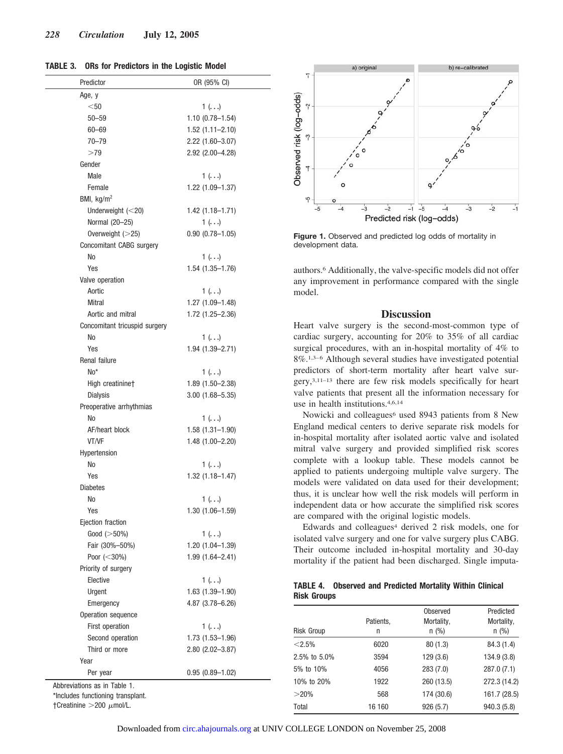**TABLE 3. ORs for Predictors in the Logistic Model**

| Age, y<br>1()<br>$50$<br>$1.10(0.78 - 1.54)$<br>50–59<br>$60 - 69$<br>$1.52(1.11 - 2.10)$<br>70-79<br>2.22 (1.60-3.07)<br>2.92 (2.00-4.28)<br>>79<br>Gender<br>1()<br><b>Male</b><br>$1.22$ $(1.09 - 1.37)$<br>Female<br>BMI, $kg/m2$<br>Underweight (<20)<br>$1.42(1.18 - 1.71)$<br>1()<br>Normal (20-25)<br>$0.90$ $(0.78 - 1.05)$<br>Overweight $(>25)$<br>Concomitant CABG surgery<br>No<br>1()<br><b>Yes</b><br>$1.54(1.35 - 1.76)$<br>Valve operation<br>Aortic<br>1()<br>$1.27(1.09 - 1.48)$<br>Mitral<br>Aortic and mitral<br>1.72 (1.25-2.36)<br>Concomitant tricuspid surgery<br>No<br>1()<br><b>Yes</b><br>1.94 (1.39-2.71)<br>Renal failure<br>$No*$<br>1()<br>$1.89(1.50 - 2.38)$<br>High creatininet<br><b>Dialysis</b><br>$3.00(1.68 - 5.35)$<br>Preoperative arrhythmias<br>N <sub>0</sub><br>1()<br>$1.58(1.31 - 1.90)$<br>AF/heart block<br>VT/VF<br>1.48 (1.00-2.20)<br>Hypertension<br>1()<br>No<br>$1.32(1.18 - 1.47)$<br>Yes<br><b>Diabetes</b><br>1()<br>No<br>1.30 (1.06-1.59)<br>Yes<br>Ejection fraction<br>1()<br>Good $(>50\%)$<br>Fair (30%-50%)<br>$1.20(1.04 - 1.39)$<br>Poor $(<30\%)$<br>$1.99(1.64 - 2.41)$<br>Priority of surgery<br>Elective<br>1()<br>1.63 (1.39-1.90)<br>Urgent<br>4.87 (3.78-6.26)<br>Emergency<br>Operation sequence<br>1()<br>First operation<br>Second operation<br>1.73 (1.53-1.96)<br>Third or more<br>2.80 (2.02-3.87)<br>Year<br>Per year<br>$0.95(0.89-1.02)$<br>Abbreviations as in Table 1.<br>*Includes functioning transplant. | Predictor | OR (95% CI) |
|---------------------------------------------------------------------------------------------------------------------------------------------------------------------------------------------------------------------------------------------------------------------------------------------------------------------------------------------------------------------------------------------------------------------------------------------------------------------------------------------------------------------------------------------------------------------------------------------------------------------------------------------------------------------------------------------------------------------------------------------------------------------------------------------------------------------------------------------------------------------------------------------------------------------------------------------------------------------------------------------------------------------------------------------------------------------------------------------------------------------------------------------------------------------------------------------------------------------------------------------------------------------------------------------------------------------------------------------------------------------------------------------------------------------------------------------------------------------------------------------------|-----------|-------------|
|                                                                                                                                                                                                                                                                                                                                                                                                                                                                                                                                                                                                                                                                                                                                                                                                                                                                                                                                                                                                                                                                                                                                                                                                                                                                                                                                                                                                                                                                                                   |           |             |
|                                                                                                                                                                                                                                                                                                                                                                                                                                                                                                                                                                                                                                                                                                                                                                                                                                                                                                                                                                                                                                                                                                                                                                                                                                                                                                                                                                                                                                                                                                   |           |             |
|                                                                                                                                                                                                                                                                                                                                                                                                                                                                                                                                                                                                                                                                                                                                                                                                                                                                                                                                                                                                                                                                                                                                                                                                                                                                                                                                                                                                                                                                                                   |           |             |
|                                                                                                                                                                                                                                                                                                                                                                                                                                                                                                                                                                                                                                                                                                                                                                                                                                                                                                                                                                                                                                                                                                                                                                                                                                                                                                                                                                                                                                                                                                   |           |             |
|                                                                                                                                                                                                                                                                                                                                                                                                                                                                                                                                                                                                                                                                                                                                                                                                                                                                                                                                                                                                                                                                                                                                                                                                                                                                                                                                                                                                                                                                                                   |           |             |
|                                                                                                                                                                                                                                                                                                                                                                                                                                                                                                                                                                                                                                                                                                                                                                                                                                                                                                                                                                                                                                                                                                                                                                                                                                                                                                                                                                                                                                                                                                   |           |             |
|                                                                                                                                                                                                                                                                                                                                                                                                                                                                                                                                                                                                                                                                                                                                                                                                                                                                                                                                                                                                                                                                                                                                                                                                                                                                                                                                                                                                                                                                                                   |           |             |
|                                                                                                                                                                                                                                                                                                                                                                                                                                                                                                                                                                                                                                                                                                                                                                                                                                                                                                                                                                                                                                                                                                                                                                                                                                                                                                                                                                                                                                                                                                   |           |             |
|                                                                                                                                                                                                                                                                                                                                                                                                                                                                                                                                                                                                                                                                                                                                                                                                                                                                                                                                                                                                                                                                                                                                                                                                                                                                                                                                                                                                                                                                                                   |           |             |
|                                                                                                                                                                                                                                                                                                                                                                                                                                                                                                                                                                                                                                                                                                                                                                                                                                                                                                                                                                                                                                                                                                                                                                                                                                                                                                                                                                                                                                                                                                   |           |             |
|                                                                                                                                                                                                                                                                                                                                                                                                                                                                                                                                                                                                                                                                                                                                                                                                                                                                                                                                                                                                                                                                                                                                                                                                                                                                                                                                                                                                                                                                                                   |           |             |
|                                                                                                                                                                                                                                                                                                                                                                                                                                                                                                                                                                                                                                                                                                                                                                                                                                                                                                                                                                                                                                                                                                                                                                                                                                                                                                                                                                                                                                                                                                   |           |             |
|                                                                                                                                                                                                                                                                                                                                                                                                                                                                                                                                                                                                                                                                                                                                                                                                                                                                                                                                                                                                                                                                                                                                                                                                                                                                                                                                                                                                                                                                                                   |           |             |
|                                                                                                                                                                                                                                                                                                                                                                                                                                                                                                                                                                                                                                                                                                                                                                                                                                                                                                                                                                                                                                                                                                                                                                                                                                                                                                                                                                                                                                                                                                   |           |             |
|                                                                                                                                                                                                                                                                                                                                                                                                                                                                                                                                                                                                                                                                                                                                                                                                                                                                                                                                                                                                                                                                                                                                                                                                                                                                                                                                                                                                                                                                                                   |           |             |
|                                                                                                                                                                                                                                                                                                                                                                                                                                                                                                                                                                                                                                                                                                                                                                                                                                                                                                                                                                                                                                                                                                                                                                                                                                                                                                                                                                                                                                                                                                   |           |             |
|                                                                                                                                                                                                                                                                                                                                                                                                                                                                                                                                                                                                                                                                                                                                                                                                                                                                                                                                                                                                                                                                                                                                                                                                                                                                                                                                                                                                                                                                                                   |           |             |
|                                                                                                                                                                                                                                                                                                                                                                                                                                                                                                                                                                                                                                                                                                                                                                                                                                                                                                                                                                                                                                                                                                                                                                                                                                                                                                                                                                                                                                                                                                   |           |             |
|                                                                                                                                                                                                                                                                                                                                                                                                                                                                                                                                                                                                                                                                                                                                                                                                                                                                                                                                                                                                                                                                                                                                                                                                                                                                                                                                                                                                                                                                                                   |           |             |
|                                                                                                                                                                                                                                                                                                                                                                                                                                                                                                                                                                                                                                                                                                                                                                                                                                                                                                                                                                                                                                                                                                                                                                                                                                                                                                                                                                                                                                                                                                   |           |             |
|                                                                                                                                                                                                                                                                                                                                                                                                                                                                                                                                                                                                                                                                                                                                                                                                                                                                                                                                                                                                                                                                                                                                                                                                                                                                                                                                                                                                                                                                                                   |           |             |
|                                                                                                                                                                                                                                                                                                                                                                                                                                                                                                                                                                                                                                                                                                                                                                                                                                                                                                                                                                                                                                                                                                                                                                                                                                                                                                                                                                                                                                                                                                   |           |             |
|                                                                                                                                                                                                                                                                                                                                                                                                                                                                                                                                                                                                                                                                                                                                                                                                                                                                                                                                                                                                                                                                                                                                                                                                                                                                                                                                                                                                                                                                                                   |           |             |
|                                                                                                                                                                                                                                                                                                                                                                                                                                                                                                                                                                                                                                                                                                                                                                                                                                                                                                                                                                                                                                                                                                                                                                                                                                                                                                                                                                                                                                                                                                   |           |             |
|                                                                                                                                                                                                                                                                                                                                                                                                                                                                                                                                                                                                                                                                                                                                                                                                                                                                                                                                                                                                                                                                                                                                                                                                                                                                                                                                                                                                                                                                                                   |           |             |
|                                                                                                                                                                                                                                                                                                                                                                                                                                                                                                                                                                                                                                                                                                                                                                                                                                                                                                                                                                                                                                                                                                                                                                                                                                                                                                                                                                                                                                                                                                   |           |             |
|                                                                                                                                                                                                                                                                                                                                                                                                                                                                                                                                                                                                                                                                                                                                                                                                                                                                                                                                                                                                                                                                                                                                                                                                                                                                                                                                                                                                                                                                                                   |           |             |
|                                                                                                                                                                                                                                                                                                                                                                                                                                                                                                                                                                                                                                                                                                                                                                                                                                                                                                                                                                                                                                                                                                                                                                                                                                                                                                                                                                                                                                                                                                   |           |             |
|                                                                                                                                                                                                                                                                                                                                                                                                                                                                                                                                                                                                                                                                                                                                                                                                                                                                                                                                                                                                                                                                                                                                                                                                                                                                                                                                                                                                                                                                                                   |           |             |
|                                                                                                                                                                                                                                                                                                                                                                                                                                                                                                                                                                                                                                                                                                                                                                                                                                                                                                                                                                                                                                                                                                                                                                                                                                                                                                                                                                                                                                                                                                   |           |             |
|                                                                                                                                                                                                                                                                                                                                                                                                                                                                                                                                                                                                                                                                                                                                                                                                                                                                                                                                                                                                                                                                                                                                                                                                                                                                                                                                                                                                                                                                                                   |           |             |
|                                                                                                                                                                                                                                                                                                                                                                                                                                                                                                                                                                                                                                                                                                                                                                                                                                                                                                                                                                                                                                                                                                                                                                                                                                                                                                                                                                                                                                                                                                   |           |             |
|                                                                                                                                                                                                                                                                                                                                                                                                                                                                                                                                                                                                                                                                                                                                                                                                                                                                                                                                                                                                                                                                                                                                                                                                                                                                                                                                                                                                                                                                                                   |           |             |
|                                                                                                                                                                                                                                                                                                                                                                                                                                                                                                                                                                                                                                                                                                                                                                                                                                                                                                                                                                                                                                                                                                                                                                                                                                                                                                                                                                                                                                                                                                   |           |             |
|                                                                                                                                                                                                                                                                                                                                                                                                                                                                                                                                                                                                                                                                                                                                                                                                                                                                                                                                                                                                                                                                                                                                                                                                                                                                                                                                                                                                                                                                                                   |           |             |
|                                                                                                                                                                                                                                                                                                                                                                                                                                                                                                                                                                                                                                                                                                                                                                                                                                                                                                                                                                                                                                                                                                                                                                                                                                                                                                                                                                                                                                                                                                   |           |             |
|                                                                                                                                                                                                                                                                                                                                                                                                                                                                                                                                                                                                                                                                                                                                                                                                                                                                                                                                                                                                                                                                                                                                                                                                                                                                                                                                                                                                                                                                                                   |           |             |
|                                                                                                                                                                                                                                                                                                                                                                                                                                                                                                                                                                                                                                                                                                                                                                                                                                                                                                                                                                                                                                                                                                                                                                                                                                                                                                                                                                                                                                                                                                   |           |             |
|                                                                                                                                                                                                                                                                                                                                                                                                                                                                                                                                                                                                                                                                                                                                                                                                                                                                                                                                                                                                                                                                                                                                                                                                                                                                                                                                                                                                                                                                                                   |           |             |
|                                                                                                                                                                                                                                                                                                                                                                                                                                                                                                                                                                                                                                                                                                                                                                                                                                                                                                                                                                                                                                                                                                                                                                                                                                                                                                                                                                                                                                                                                                   |           |             |
|                                                                                                                                                                                                                                                                                                                                                                                                                                                                                                                                                                                                                                                                                                                                                                                                                                                                                                                                                                                                                                                                                                                                                                                                                                                                                                                                                                                                                                                                                                   |           |             |
|                                                                                                                                                                                                                                                                                                                                                                                                                                                                                                                                                                                                                                                                                                                                                                                                                                                                                                                                                                                                                                                                                                                                                                                                                                                                                                                                                                                                                                                                                                   |           |             |
|                                                                                                                                                                                                                                                                                                                                                                                                                                                                                                                                                                                                                                                                                                                                                                                                                                                                                                                                                                                                                                                                                                                                                                                                                                                                                                                                                                                                                                                                                                   |           |             |
|                                                                                                                                                                                                                                                                                                                                                                                                                                                                                                                                                                                                                                                                                                                                                                                                                                                                                                                                                                                                                                                                                                                                                                                                                                                                                                                                                                                                                                                                                                   |           |             |
|                                                                                                                                                                                                                                                                                                                                                                                                                                                                                                                                                                                                                                                                                                                                                                                                                                                                                                                                                                                                                                                                                                                                                                                                                                                                                                                                                                                                                                                                                                   |           |             |
|                                                                                                                                                                                                                                                                                                                                                                                                                                                                                                                                                                                                                                                                                                                                                                                                                                                                                                                                                                                                                                                                                                                                                                                                                                                                                                                                                                                                                                                                                                   |           |             |
|                                                                                                                                                                                                                                                                                                                                                                                                                                                                                                                                                                                                                                                                                                                                                                                                                                                                                                                                                                                                                                                                                                                                                                                                                                                                                                                                                                                                                                                                                                   |           |             |
|                                                                                                                                                                                                                                                                                                                                                                                                                                                                                                                                                                                                                                                                                                                                                                                                                                                                                                                                                                                                                                                                                                                                                                                                                                                                                                                                                                                                                                                                                                   |           |             |
|                                                                                                                                                                                                                                                                                                                                                                                                                                                                                                                                                                                                                                                                                                                                                                                                                                                                                                                                                                                                                                                                                                                                                                                                                                                                                                                                                                                                                                                                                                   |           |             |
|                                                                                                                                                                                                                                                                                                                                                                                                                                                                                                                                                                                                                                                                                                                                                                                                                                                                                                                                                                                                                                                                                                                                                                                                                                                                                                                                                                                                                                                                                                   |           |             |
|                                                                                                                                                                                                                                                                                                                                                                                                                                                                                                                                                                                                                                                                                                                                                                                                                                                                                                                                                                                                                                                                                                                                                                                                                                                                                                                                                                                                                                                                                                   |           |             |
|                                                                                                                                                                                                                                                                                                                                                                                                                                                                                                                                                                                                                                                                                                                                                                                                                                                                                                                                                                                                                                                                                                                                                                                                                                                                                                                                                                                                                                                                                                   |           |             |
|                                                                                                                                                                                                                                                                                                                                                                                                                                                                                                                                                                                                                                                                                                                                                                                                                                                                                                                                                                                                                                                                                                                                                                                                                                                                                                                                                                                                                                                                                                   |           |             |
|                                                                                                                                                                                                                                                                                                                                                                                                                                                                                                                                                                                                                                                                                                                                                                                                                                                                                                                                                                                                                                                                                                                                                                                                                                                                                                                                                                                                                                                                                                   |           |             |

b) re-calibrated a) original  $\overline{1}$ Observed risk (log-odds)  $\tilde{c}$ ကု ဂု  $\frac{1}{3}$ -2  $-1$  $-5$ -3 -2 Predicted risk (log-odds)

**Figure 1.** Observed and predicted log odds of mortality in development data.

authors.6 Additionally, the valve-specific models did not offer any improvement in performance compared with the single model.

### **Discussion**

Heart valve surgery is the second-most-common type of cardiac surgery, accounting for 20% to 35% of all cardiac surgical procedures, with an in-hospital mortality of 4% to 8%.<sup>1,3–6</sup> Although several studies have investigated potential predictors of short-term mortality after heart valve surgery,3,11–13 there are few risk models specifically for heart valve patients that present all the information necessary for use in health institutions.4,6,14

Nowicki and colleagues<sup>6</sup> used 8943 patients from 8 New England medical centers to derive separate risk models for in-hospital mortality after isolated aortic valve and isolated mitral valve surgery and provided simplified risk scores complete with a lookup table. These models cannot be applied to patients undergoing multiple valve surgery. The models were validated on data used for their development; thus, it is unclear how well the risk models will perform in independent data or how accurate the simplified risk scores are compared with the original logistic models.

Edwards and colleagues<sup>4</sup> derived 2 risk models, one for isolated valve surgery and one for valve surgery plus CABG. Their outcome included in-hospital mortality and 30-day mortality if the patient had been discharged. Single imputa-

| TABLE 4.    | <b>Observed and Predicted Mortality Within Clinical</b> |  |  |
|-------------|---------------------------------------------------------|--|--|
| Risk Groups |                                                         |  |  |

| Risk Group   | Patients,<br>n | Observed<br>Mortality,<br>$n$ (%) | Predicted<br>Mortality,<br>$n$ (%) |
|--------------|----------------|-----------------------------------|------------------------------------|
| $< 2.5\%$    | 6020           | 80(1.3)                           | 84.3 (1.4)                         |
| 2.5% to 5.0% | 3594           | 129(3.6)                          | 134.9(3.8)                         |
| 5% to 10%    | 4056           | 283(7.0)                          | 287.0 (7.1)                        |
| 10% to 20%   | 1922           | 260 (13.5)                        | 272.3 (14.2)                       |
| $>20\%$      | 568            | 174 (30.6)                        | 161.7 (28.5)                       |
| Total        | 16 160         | 926(5.7)                          | 940.3 (5.8)                        |

\*Includes functioning transplant.

 $\uparrow$ Creatinine > 200  $\mu$ mol/L.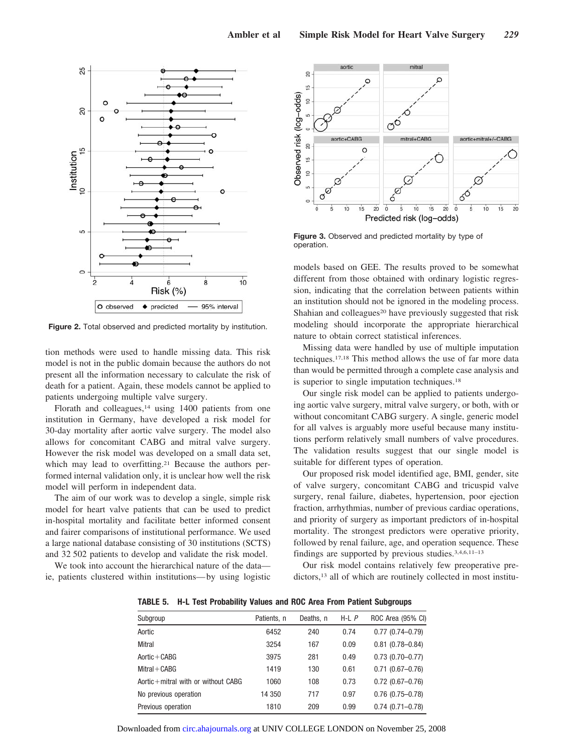

**Figure 2.** Total observed and predicted mortality by institution.

tion methods were used to handle missing data. This risk model is not in the public domain because the authors do not present all the information necessary to calculate the risk of death for a patient. Again, these models cannot be applied to patients undergoing multiple valve surgery.

Florath and colleagues, $14$  using 1400 patients from one institution in Germany, have developed a risk model for 30-day mortality after aortic valve surgery. The model also allows for concomitant CABG and mitral valve surgery. However the risk model was developed on a small data set, which may lead to overfitting.<sup>21</sup> Because the authors performed internal validation only, it is unclear how well the risk model will perform in independent data.

The aim of our work was to develop a single, simple risk model for heart valve patients that can be used to predict in-hospital mortality and facilitate better informed consent and fairer comparisons of institutional performance. We used a large national database consisting of 30 institutions (SCTS) and 32 502 patients to develop and validate the risk model.

We took into account the hierarchical nature of the data ie, patients clustered within institutions— by using logistic



**Figure 3.** Observed and predicted mortality by type of operation.

models based on GEE. The results proved to be somewhat different from those obtained with ordinary logistic regression, indicating that the correlation between patients within an institution should not be ignored in the modeling process. Shahian and colleagues<sup>20</sup> have previously suggested that risk modeling should incorporate the appropriate hierarchical nature to obtain correct statistical inferences.

Missing data were handled by use of multiple imputation techniques.17,18 This method allows the use of far more data than would be permitted through a complete case analysis and is superior to single imputation techniques.<sup>18</sup>

Our single risk model can be applied to patients undergoing aortic valve surgery, mitral valve surgery, or both, with or without concomitant CABG surgery. A single, generic model for all valves is arguably more useful because many institutions perform relatively small numbers of valve procedures. The validation results suggest that our single model is suitable for different types of operation.

Our proposed risk model identified age, BMI, gender, site of valve surgery, concomitant CABG and tricuspid valve surgery, renal failure, diabetes, hypertension, poor ejection fraction, arrhythmias, number of previous cardiac operations, and priority of surgery as important predictors of in-hospital mortality. The strongest predictors were operative priority, followed by renal failure, age, and operation sequence. These findings are supported by previous studies.3,4,6,11–13

Our risk model contains relatively few preoperative predictors,<sup>13</sup> all of which are routinely collected in most institu-

**TABLE 5. H-L Test Probability Values and ROC Area From Patient Subgroups**

| Subgroup                               | Patients, n | Deaths, n | $H-L$ $P$ | ROC Area (95% CI)      |
|----------------------------------------|-------------|-----------|-----------|------------------------|
| Aortic                                 | 6452        | 240       | 0.74      | $0.77(0.74 - 0.79)$    |
| Mitral                                 | 3254        | 167       | 0.09      | $0.81$ (0.78-0.84)     |
| $Aortic + CABG$                        | 3975        | 281       | 0.49      | $0.73$ $(0.70 - 0.77)$ |
| $MitraI + CABG$                        | 1419        | 130       | 0.61      | $0.71$ $(0.67 - 0.76)$ |
| Aortic $+$ mitral with or without CABG | 1060        | 108       | 0.73      | $0.72$ $(0.67 - 0.76)$ |
| No previous operation                  | 14 350      | 717       | 0.97      | $0.76$ $(0.75 - 0.78)$ |
| Previous operation                     | 1810        | 209       | 0.99      | $0.74(0.71 - 0.78)$    |

Downloaded from [circ.ahajournals.org](http://circ.ahajournals.org) at UNIV COLLEGE LONDON on November 25, 2008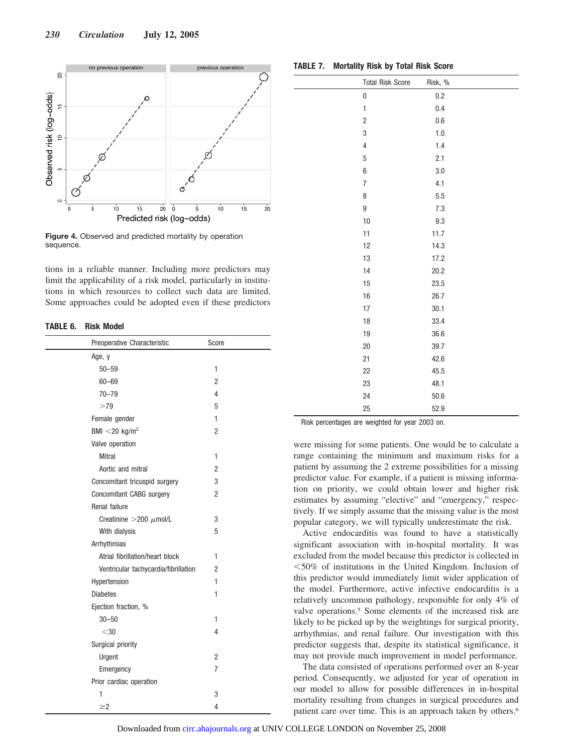

Figure 4. Observed and predicted mortality by operation sequence.

tions in a reliable manner. Including more predictors may limit the applicability of a risk model, particularly in institutions in which resources to collect such data are limited. Some approaches could be adopted even if these predictors

#### **TABLE 6. Risk Model**

| Preoperative Characteristic          | Score          |  |
|--------------------------------------|----------------|--|
| Age, y                               |                |  |
| $50 - 59$                            | 1              |  |
| $60 - 69$                            | $\overline{2}$ |  |
| $70 - 79$                            | 4              |  |
| >79                                  | 5              |  |
| Female gender                        | 1              |  |
| BMI $<$ 20 kg/m <sup>2</sup>         | 2              |  |
| Valve operation                      |                |  |
| Mitral                               | 1              |  |
| Aortic and mitral                    | $\overline{2}$ |  |
| Concomitant tricuspid surgery        | 3              |  |
| Concomitant CABG surgery             | 2              |  |
| Renal failure                        |                |  |
| Creatinine $>$ 200 $\mu$ mol/L       | 3              |  |
| With dialysis                        | 5              |  |
| Arrhythmias                          |                |  |
| Atrial fibrillation/heart block      | 1              |  |
| Ventricular tachycardia/fibrillation | $\overline{2}$ |  |
| Hypertension                         | 1              |  |
| <b>Diabetes</b>                      | 1              |  |
| Ejection fraction, %                 |                |  |
| $30 - 50$                            | 1              |  |
| $<$ 30                               | 4              |  |
| Surgical priority                    |                |  |
| Urgent                               | 2              |  |
| Emergency                            | 7              |  |
| Prior cardiac operation              |                |  |
| 1                                    | 3              |  |
| ≥2                                   | 4              |  |

|  |  |  |  | <b>TABLE 7. Mortality Risk by Total Risk Score</b> |
|--|--|--|--|----------------------------------------------------|
|--|--|--|--|----------------------------------------------------|

| <b>Total Risk Score</b> | Risk, %  |
|-------------------------|----------|
| $\pmb{0}$               | 0.2      |
| $\mathbf{1}$            | 0.4      |
| $\overline{c}$          | 0.6      |
| 3                       | $1.0\,$  |
| $\overline{\mathbf{4}}$ | 1.4      |
| $\overline{5}$          | 2.1      |
| 6                       | 3.0      |
| $\overline{7}$          | 4.1      |
| 8                       | 5.5      |
| 9                       | 7.3      |
| 10                      | 9.3      |
| 11                      | 11.7     |
| 12                      | 14.3     |
| 13                      | 17.2     |
| 14                      | 20.2     |
| 15                      | 23.5     |
| 16                      | 26.7     |
| 17                      | 30.1     |
| 18                      | 33.4     |
| 19                      | 36.6     |
| $20\,$                  | 39.7     |
| 21                      | 42.6     |
| 22                      | 45.5     |
| 23                      | 48.1     |
| 24                      | $50.6\,$ |
| 25                      | 52.9     |

Risk percentages are weighted for year 2003 on.

were missing for some patients. One would be to calculate a range containing the minimum and maximum risks for a patient by assuming the 2 extreme possibilities for a missing predictor value. For example, if a patient is missing information on priority, we could obtain lower and higher risk estimates by assuming "elective" and "emergency," respectively. If we simply assume that the missing value is the most popular category, we will typically underestimate the risk.

Active endocarditis was found to have a statistically significant association with in-hospital mortality. It was excluded from the model because this predictor is collected in -50% of institutions in the United Kingdom. Inclusion of this predictor would immediately limit wider application of the model. Furthermore, active infective endocarditis is a relatively uncommon pathology, responsible for only 4% of valve operations.5 Some elements of the increased risk are likely to be picked up by the weightings for surgical priority, arrhythmias, and renal failure. Our investigation with this predictor suggests that, despite its statistical significance, it may not provide much improvement in model performance.

The data consisted of operations performed over an 8-year period. Consequently, we adjusted for year of operation in our model to allow for possible differences in in-hospital mortality resulting from changes in surgical procedures and patient care over time. This is an approach taken by others.6